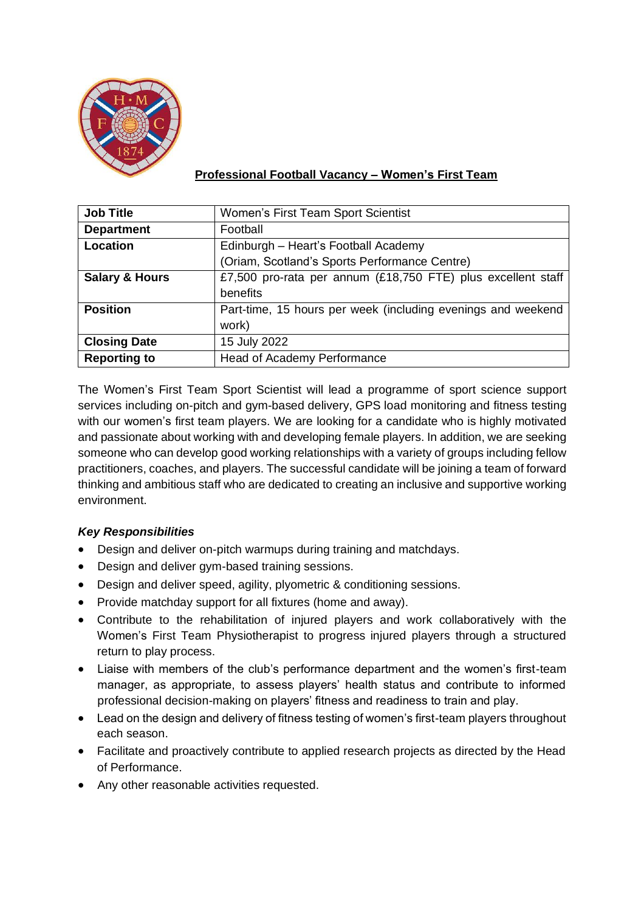

# **Professional Football Vacancy – Women's First Team**

| <b>Job Title</b>          | Women's First Team Sport Scientist                           |
|---------------------------|--------------------------------------------------------------|
| <b>Department</b>         | Football                                                     |
| Location                  | Edinburgh - Heart's Football Academy                         |
|                           | (Oriam, Scotland's Sports Performance Centre)                |
| <b>Salary &amp; Hours</b> | £7,500 pro-rata per annum (£18,750 FTE) plus excellent staff |
|                           | benefits                                                     |
| <b>Position</b>           | Part-time, 15 hours per week (including evenings and weekend |
|                           | work)                                                        |
| <b>Closing Date</b>       | 15 July 2022                                                 |
| <b>Reporting to</b>       | Head of Academy Performance                                  |

The Women's First Team Sport Scientist will lead a programme of sport science support services including on-pitch and gym-based delivery, GPS load monitoring and fitness testing with our women's first team players. We are looking for a candidate who is highly motivated and passionate about working with and developing female players. In addition, we are seeking someone who can develop good working relationships with a variety of groups including fellow practitioners, coaches, and players. The successful candidate will be joining a team of forward thinking and ambitious staff who are dedicated to creating an inclusive and supportive working environment.

### *Key Responsibilities*

- Design and deliver on-pitch warmups during training and matchdays.
- Design and deliver gym-based training sessions.
- Design and deliver speed, agility, plyometric & conditioning sessions.
- Provide matchday support for all fixtures (home and away).
- Contribute to the rehabilitation of injured players and work collaboratively with the Women's First Team Physiotherapist to progress injured players through a structured return to play process.
- Liaise with members of the club's performance department and the women's first-team manager, as appropriate, to assess players' health status and contribute to informed professional decision-making on players' fitness and readiness to train and play.
- Lead on the design and delivery of fitness testing of women's first-team players throughout each season.
- Facilitate and proactively contribute to applied research projects as directed by the Head of Performance.
- Any other reasonable activities requested.